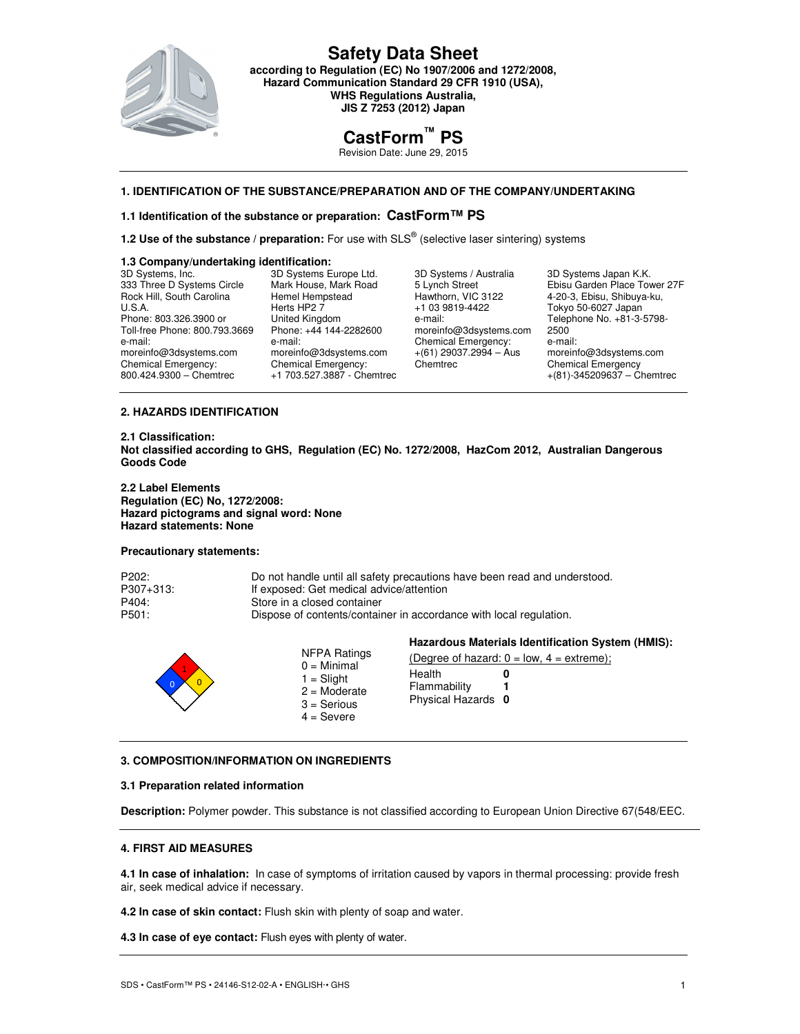

**Safety Data Sheet according to Regulation (EC) No 1907/2006 and 1272/2008, Hazard Communication Standard 29 CFR 1910 (USA), WHS Regulations Australia, JIS Z 7253 (2012) Japan** 

# **CastForm™ PS**

Revision Date: June 29, 2015

# **1. IDENTIFICATION OF THE SUBSTANCE/PREPARATION AND OF THE COMPANY/UNDERTAKING**

## **1.1 Identification of the substance or preparation: CastForm™ PS**

**1.2 Use of the substance / preparation:** For use with SLS<sup>®</sup> (selective laser sintering) systems

### **1.3 Company/undertaking identification:**

| 3D Systems, Inc.              | 3D Systems Europe Ltd.     | 3D Systems / Australia   | 3D Systems Japan K.K.          |
|-------------------------------|----------------------------|--------------------------|--------------------------------|
| 333 Three D Systems Circle    | Mark House, Mark Road      | 5 Lynch Street           | Ebisu Garden Place Tower 27F   |
| Rock Hill, South Carolina     | Hemel Hempstead            | Hawthorn, VIC 3122       | 4-20-3, Ebisu, Shibuya-ku,     |
| U.S.A.                        | Herts HP2 7                | +1 03 9819-4422          | Tokyo 50-6027 Japan            |
| Phone: 803.326.3900 or        | United Kingdom             | e-mail:                  | Telephone No. +81-3-5798-      |
| Toll-free Phone: 800.793.3669 | Phone: +44 144-2282600     | moreinfo@3dsystems.com   | 2500                           |
| e-mail:                       | e-mail:                    | Chemical Emergency:      | e-mail:                        |
| moreinfo@3dsystems.com        | moreinfo@3dsystems.com     | $+(61)$ 29037.2994 - Aus | moreinfo@3dsystems.com         |
| Chemical Emergency:           | Chemical Emergency:        | Chemtrec                 | <b>Chemical Emergency</b>      |
| 800.424.9300 - Chemtrec       | +1 703.527.3887 - Chemtrec |                          | $+(81) - 345209637 -$ Chemtrec |
|                               |                            |                          |                                |

# **2. HAZARDS IDENTIFICATION**

**2.1 Classification: Not classified according to GHS, Regulation (EC) No. 1272/2008, HazCom 2012, Australian Dangerous Goods Code** 

**2.2 Label Elements Regulation (EC) No, 1272/2008: Hazard pictograms and signal word: None Hazard statements: None** 

### **Precautionary statements:**

| P202:     | Do not handle until all safety precautions have been read and understood. |
|-----------|---------------------------------------------------------------------------|
| P307+313: | If exposed: Get medical advice/attention                                  |
| P404:     | Store in a closed container                                               |
| P501:     | Dispose of contents/container in accordance with local regulation.        |
|           |                                                                           |

|                                                                                                  | Hazardous Materials Identification System (HMIS):                                               |  |
|--------------------------------------------------------------------------------------------------|-------------------------------------------------------------------------------------------------|--|
| NFPA Ratings<br>$0 =$ Minimal<br>$1 =$ Slight<br>$2 =$ Moderate<br>$3 =$ Serious<br>$4 =$ Severe | (Degree of hazard: $0 = low$ , $4 = extreme$ );<br>Health<br>Flammability<br>Physical Hazards 0 |  |

### **3. COMPOSITION/INFORMATION ON INGREDIENTS**

### **3.1 Preparation related information**

**Description:** Polymer powder. This substance is not classified according to European Union Directive 67(548/EEC.

### **4. FIRST AID MEASURES**

**4.1 In case of inhalation:** In case of symptoms of irritation caused by vapors in thermal processing: provide fresh air, seek medical advice if necessary.

**4.2 In case of skin contact:** Flush skin with plenty of soap and water.

**4.3 In case of eye contact:** Flush eyes with plenty of water.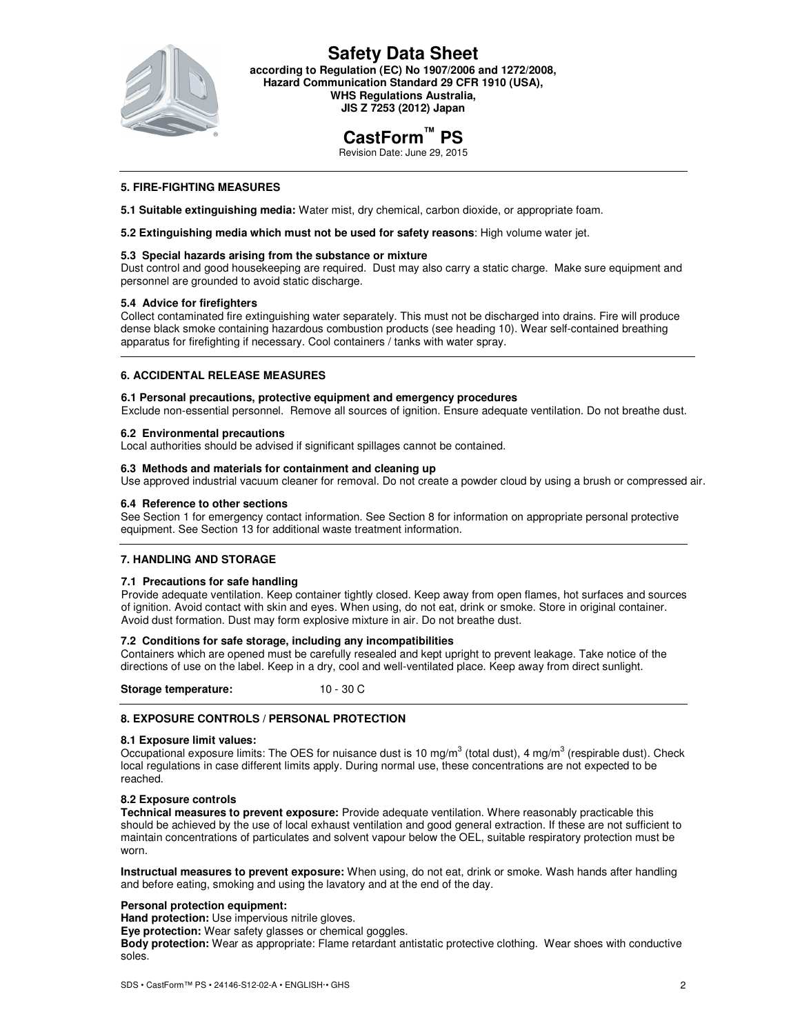

**Safety Data Sheet according to Regulation (EC) No 1907/2006 and 1272/2008, Hazard Communication Standard 29 CFR 1910 (USA), WHS Regulations Australia, JIS Z 7253 (2012) Japan** 

# **CastForm™ PS**

Revision Date: June 29, 2015

## **5. FIRE-FIGHTING MEASURES**

**5.1 Suitable extinguishing media:** Water mist, dry chemical, carbon dioxide, or appropriate foam.

**5.2 Extinguishing media which must not be used for safety reasons**: High volume water jet.

### **5.3 Special hazards arising from the substance or mixture**

Dust control and good housekeeping are required. Dust may also carry a static charge. Make sure equipment and personnel are grounded to avoid static discharge.

### **5.4 Advice for firefighters**

Collect contaminated fire extinguishing water separately. This must not be discharged into drains. Fire will produce dense black smoke containing hazardous combustion products (see heading 10). Wear self-contained breathing apparatus for firefighting if necessary. Cool containers / tanks with water spray.

### **6. ACCIDENTAL RELEASE MEASURES**

### **6.1 Personal precautions, protective equipment and emergency procedures**

Exclude non-essential personnel. Remove all sources of ignition. Ensure adequate ventilation. Do not breathe dust.

### **6.2 Environmental precautions**

Local authorities should be advised if significant spillages cannot be contained.

### **6.3 Methods and materials for containment and cleaning up**

Use approved industrial vacuum cleaner for removal. Do not create a powder cloud by using a brush or compressed air.

### **6.4 Reference to other sections**

See Section 1 for emergency contact information. See Section 8 for information on appropriate personal protective equipment. See Section 13 for additional waste treatment information.

## **7. HANDLING AND STORAGE**

### **7.1 Precautions for safe handling**

Provide adequate ventilation. Keep container tightly closed. Keep away from open flames, hot surfaces and sources of ignition. Avoid contact with skin and eyes. When using, do not eat, drink or smoke. Store in original container. Avoid dust formation. Dust may form explosive mixture in air. Do not breathe dust.

### **7.2 Conditions for safe storage, including any incompatibilities**

Containers which are opened must be carefully resealed and kept upright to prevent leakage. Take notice of the directions of use on the label. Keep in a dry, cool and well-ventilated place. Keep away from direct sunlight.

**Storage temperature:** 10 - 30 C

## **8. EXPOSURE CONTROLS / PERSONAL PROTECTION**

### **8.1 Exposure limit values:**

Occupational exposure limits: The OES for nuisance dust is 10 mg/m $3$  (total dust), 4 mg/m $3$  (respirable dust). Check local regulations in case different limits apply. During normal use, these concentrations are not expected to be reached.

### **8.2 Exposure controls**

**Technical measures to prevent exposure:** Provide adequate ventilation. Where reasonably practicable this should be achieved by the use of local exhaust ventilation and good general extraction. If these are not sufficient to maintain concentrations of particulates and solvent vapour below the OEL, suitable respiratory protection must be worn.

**Instructual measures to prevent exposure:** When using, do not eat, drink or smoke. Wash hands after handling and before eating, smoking and using the lavatory and at the end of the day.

### **Personal protection equipment:**

**Hand protection:** Use impervious nitrile gloves.

**Eye protection:** Wear safety glasses or chemical goggles.

**Body protection:** Wear as appropriate: Flame retardant antistatic protective clothing. Wear shoes with conductive soles.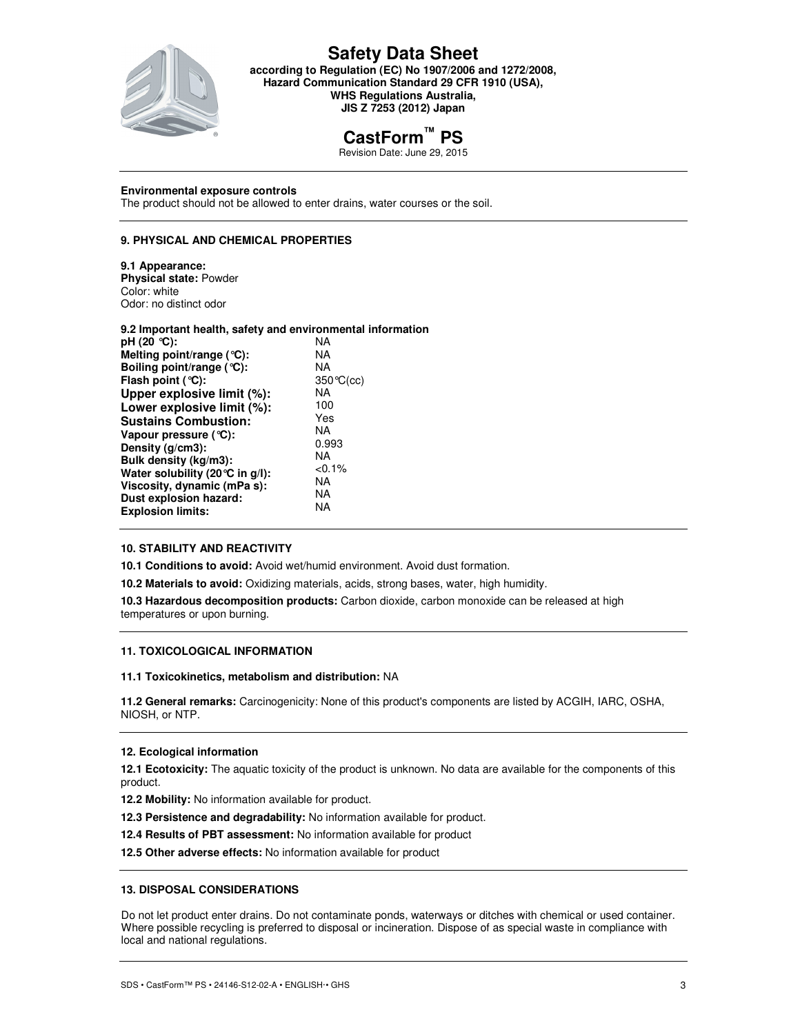

# **Safety Data Sheet**

**according to Regulation (EC) No 1907/2006 and 1272/2008, Hazard Communication Standard 29 CFR 1910 (USA), WHS Regulations Australia, JIS Z 7253 (2012) Japan** 

# **CastForm™ PS**

Revision Date: June 29, 2015

### **Environmental exposure controls**

The product should not be allowed to enter drains, water courses or the soil.

## **9. PHYSICAL AND CHEMICAL PROPERTIES**

### **9.1 Appearance:**

**Physical state:** Powder Color: white Odor: no distinct odor

| 9.2 Important health, safety and environmental information |                    |
|------------------------------------------------------------|--------------------|
| pH (20 °C):                                                | NA                 |
| Melting point/range $(°C)$ :                               | <b>NA</b>          |
| Boiling point/range (°C):                                  | <b>NA</b>          |
| Flash point $(°C)$ :                                       | $350^{\circ}C(cc)$ |
| Upper explosive limit (%):                                 | <b>NA</b>          |
| Lower explosive limit (%):                                 | 100                |
| <b>Sustains Combustion:</b>                                | Yes                |
| Vapour pressure (°C):                                      | <b>NA</b>          |
| Density (g/cm3):                                           | 0.993              |
| Bulk density (kg/m3):                                      | NA.                |
| Water solubility (20 °C in g/l):                           | $< 0.1\%$          |
| Viscosity, dynamic (mPa s):                                | NA                 |
| Dust explosion hazard:                                     | NA                 |
| <b>Explosion limits:</b>                                   | NA                 |
|                                                            |                    |

# **10. STABILITY AND REACTIVITY**

**10.1 Conditions to avoid:** Avoid wet/humid environment. Avoid dust formation.

**10.2 Materials to avoid:** Oxidizing materials, acids, strong bases, water, high humidity.

**10.3 Hazardous decomposition products:** Carbon dioxide, carbon monoxide can be released at high temperatures or upon burning.

# **11. TOXICOLOGICAL INFORMATION**

### **11.1 Toxicokinetics, metabolism and distribution:** NA

**11.2 General remarks:** Carcinogenicity: None of this product's components are listed by ACGIH, IARC, OSHA, NIOSH, or NTP.

### **12. Ecological information**

**12.1 Ecotoxicity:** The aquatic toxicity of the product is unknown. No data are available for the components of this product.

- **12.2 Mobility:** No information available for product.
- **12.3 Persistence and degradability:** No information available for product.
- **12.4 Results of PBT assessment:** No information available for product

**12.5 Other adverse effects:** No information available for product

# **13. DISPOSAL CONSIDERATIONS**

Do not let product enter drains. Do not contaminate ponds, waterways or ditches with chemical or used container. Where possible recycling is preferred to disposal or incineration. Dispose of as special waste in compliance with local and national regulations.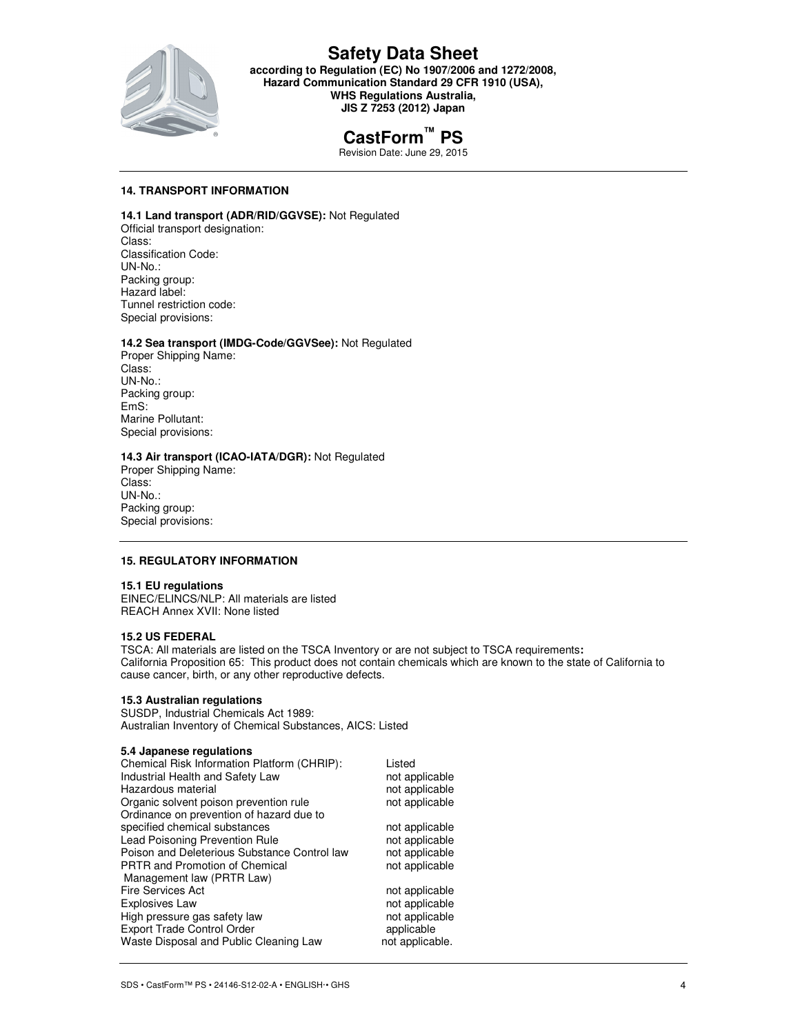

# **Safety Data Sheet**

**according to Regulation (EC) No 1907/2006 and 1272/2008, Hazard Communication Standard 29 CFR 1910 (USA), WHS Regulations Australia, JIS Z 7253 (2012) Japan** 

# **CastForm™ PS**

Revision Date: June 29, 2015

# **14. TRANSPORT INFORMATION**

# **14.1 Land transport (ADR/RID/GGVSE):** Not Regulated

Official transport designation: Class: Classification Code: UN-No.: Packing group: Hazard label: Tunnel restriction code: Special provisions:

## **14.2 Sea transport (IMDG-Code/GGVSee):** Not Regulated

Proper Shipping Name: Class: UN-No.: Packing group: EmS: Marine Pollutant: Special provisions:

### **14.3 Air transport (ICAO-IATA/DGR):** Not Regulated

Proper Shipping Name: Class: UN-No.: Packing group: Special provisions:

### **15. REGULATORY INFORMATION**

### **15.1 EU regulations**

EINEC/ELINCS/NLP: All materials are listed REACH Annex XVII: None listed

### **15.2 US FEDERAL**

TSCA: All materials are listed on the TSCA Inventory or are not subject to TSCA requirements**:**  California Proposition 65: This product does not contain chemicals which are known to the state of California to cause cancer, birth, or any other reproductive defects.

## **15.3 Australian regulations**

SUSDP, Industrial Chemicals Act 1989: Australian Inventory of Chemical Substances, AICS: Listed

### **5.4 Japanese regulations**

| Chemical Risk Information Platform (CHRIP):  | Listed          |
|----------------------------------------------|-----------------|
| Industrial Health and Safety Law             | not applicable  |
| Hazardous material                           | not applicable  |
| Organic solvent poison prevention rule       | not applicable  |
| Ordinance on prevention of hazard due to     |                 |
| specified chemical substances                | not applicable  |
| Lead Poisoning Prevention Rule               | not applicable  |
| Poison and Deleterious Substance Control law | not applicable  |
| <b>PRTR</b> and Promotion of Chemical        | not applicable  |
| Management law (PRTR Law)                    |                 |
| <b>Fire Services Act</b>                     | not applicable  |
| Explosives Law                               | not applicable  |
| High pressure gas safety law                 | not applicable  |
| <b>Export Trade Control Order</b>            | applicable      |
| Waste Disposal and Public Cleaning Law       | not applicable. |